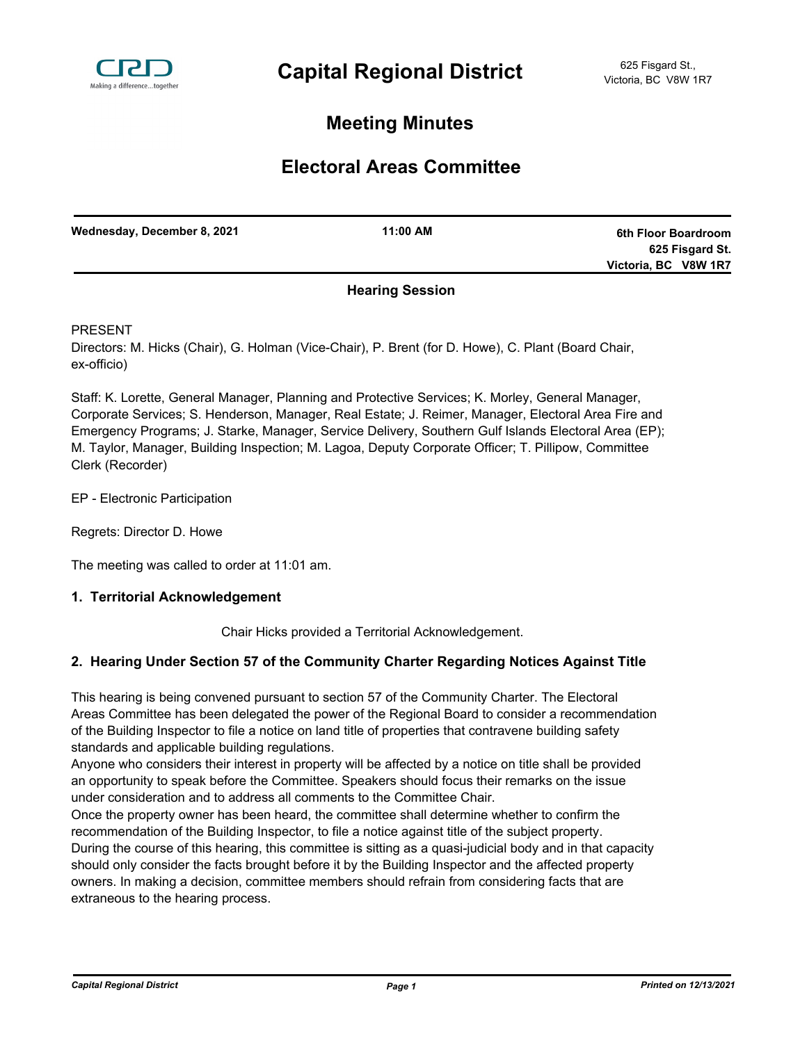

# **Meeting Minutes**

# **Electoral Areas Committee**

| Wednesday, December 8, 2021 | 11:00 AM | 6th Floor Boardroom  |
|-----------------------------|----------|----------------------|
|                             |          | 625 Fisgard St.      |
|                             |          | Victoria, BC V8W 1R7 |
|                             |          |                      |

### **Hearing Session**

PRESENT

Directors: M. Hicks (Chair), G. Holman (Vice-Chair), P. Brent (for D. Howe), C. Plant (Board Chair, ex-officio)

Staff: K. Lorette, General Manager, Planning and Protective Services; K. Morley, General Manager, Corporate Services; S. Henderson, Manager, Real Estate; J. Reimer, Manager, Electoral Area Fire and Emergency Programs; J. Starke, Manager, Service Delivery, Southern Gulf Islands Electoral Area (EP); M. Taylor, Manager, Building Inspection; M. Lagoa, Deputy Corporate Officer; T. Pillipow, Committee Clerk (Recorder)

EP - Electronic Participation

Regrets: Director D. Howe

The meeting was called to order at 11:01 am.

#### **1. Territorial Acknowledgement**

Chair Hicks provided a Territorial Acknowledgement.

### **2. Hearing Under Section 57 of the Community Charter Regarding Notices Against Title**

This hearing is being convened pursuant to section 57 of the Community Charter. The Electoral Areas Committee has been delegated the power of the Regional Board to consider a recommendation of the Building Inspector to file a notice on land title of properties that contravene building safety standards and applicable building regulations.

Anyone who considers their interest in property will be affected by a notice on title shall be provided an opportunity to speak before the Committee. Speakers should focus their remarks on the issue under consideration and to address all comments to the Committee Chair.

Once the property owner has been heard, the committee shall determine whether to confirm the recommendation of the Building Inspector, to file a notice against title of the subject property. During the course of this hearing, this committee is sitting as a quasi-judicial body and in that capacity should only consider the facts brought before it by the Building Inspector and the affected property owners. In making a decision, committee members should refrain from considering facts that are extraneous to the hearing process.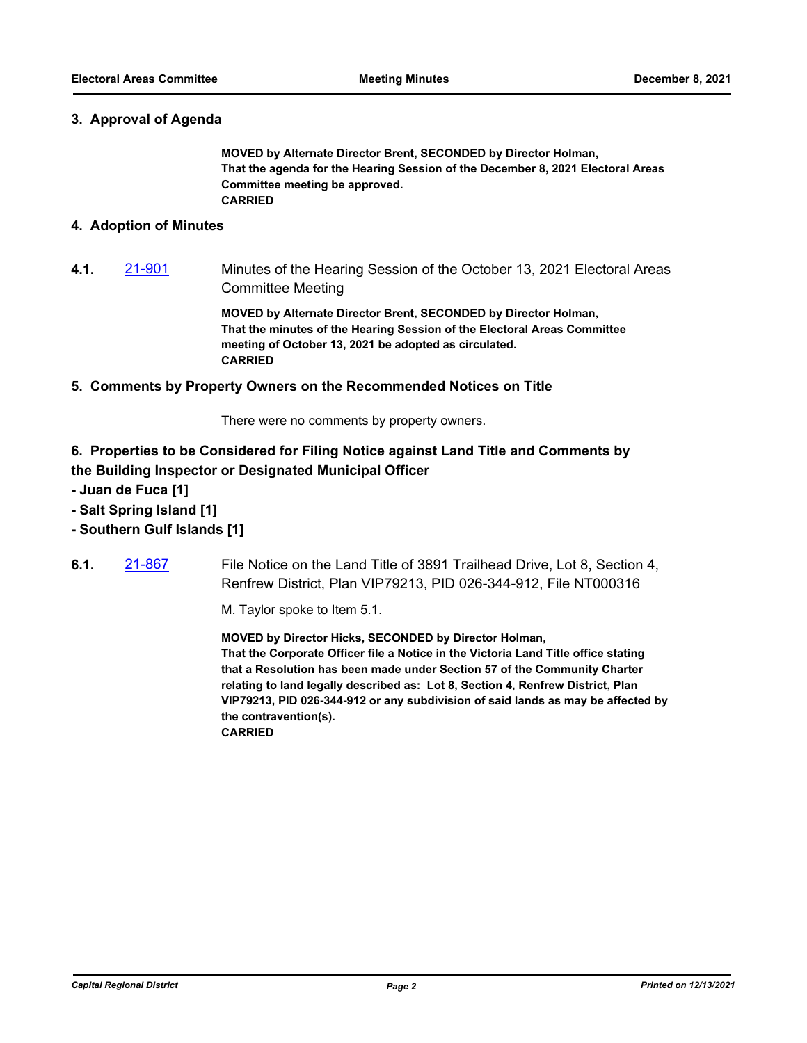#### **3. Approval of Agenda**

**MOVED by Alternate Director Brent, SECONDED by Director Holman, That the agenda for the Hearing Session of the December 8, 2021 Electoral Areas Committee meeting be approved. CARRIED**

#### **4. Adoption of Minutes**

**4.1.** [21-901](http://crd.ca.legistar.com/gateway.aspx?m=l&id=/matter.aspx?key=8849) Minutes of the Hearing Session of the October 13, 2021 Electoral Areas Committee Meeting

> **MOVED by Alternate Director Brent, SECONDED by Director Holman, That the minutes of the Hearing Session of the Electoral Areas Committee meeting of October 13, 2021 be adopted as circulated. CARRIED**

#### **5. Comments by Property Owners on the Recommended Notices on Title**

There were no comments by property owners.

## **6. Properties to be Considered for Filing Notice against Land Title and Comments by the Building Inspector or Designated Municipal Officer**

- **Juan de Fuca [1]**
- **Salt Spring Island [1]**
- **Southern Gulf Islands [1]**
- **6.1.** [21-867](http://crd.ca.legistar.com/gateway.aspx?m=l&id=/matter.aspx?key=8815) File Notice on the Land Title of 3891 Trailhead Drive, Lot 8, Section 4, Renfrew District, Plan VIP79213, PID 026-344-912, File NT000316

M. Taylor spoke to Item 5.1.

**MOVED by Director Hicks, SECONDED by Director Holman, That the Corporate Officer file a Notice in the Victoria Land Title office stating that a Resolution has been made under Section 57 of the Community Charter relating to land legally described as: Lot 8, Section 4, Renfrew District, Plan VIP79213, PID 026-344-912 or any subdivision of said lands as may be affected by the contravention(s). CARRIED**